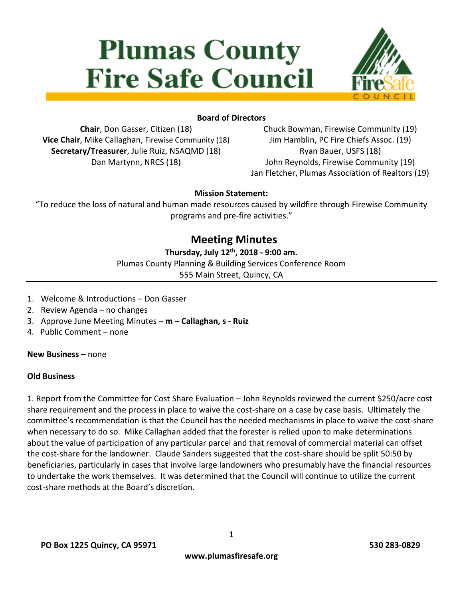# **Plumas County Fire Safe Council**



## **Board of Directors**

**Chair**, Don Gasser, Citizen (18) **Vice Chair**, Mike Callaghan, Firewise Community (18) **Secretary/Treasurer**, Julie Ruiz, NSAQMD (18) Dan Martynn, NRCS (18)

Chuck Bowman, Firewise Community (19) Jim Hamblin, PC Fire Chiefs Assoc. (19) Ryan Bauer, USFS (18) John Reynolds, Firewise Community (19) Jan Fletcher, Plumas Association of Realtors (19)

#### **Mission Statement:**

"To reduce the loss of natural and human made resources caused by wildfire through Firewise Community programs and pre-fire activities."

# **Meeting Minutes**

# **Thursday, July 12 th, 2018 - 9:00 am.**

Plumas County Planning & Building Services Conference Room 555 Main Street, Quincy, CA

- 1. Welcome & Introductions Don Gasser
- 2. Review Agenda no changes
- 3. Approve June Meeting Minutes **m – Callaghan, s - Ruiz**
- 4. Public Comment none

**New Business –** none

#### **Old Business**

1. Report from the Committee for Cost Share Evaluation – John Reynolds reviewed the current \$250/acre cost share requirement and the process in place to waive the cost-share on a case by case basis. Ultimately the committee's recommendation is that the Council has the needed mechanisms in place to waive the cost-share when necessary to do so. Mike Callaghan added that the forester is relied upon to make determinations about the value of participation of any particular parcel and that removal of commercial material can offset the cost-share for the landowner. Claude Sanders suggested that the cost-share should be split 50:50 by beneficiaries, particularly in cases that involve large landowners who presumably have the financial resources to undertake the work themselves. It was determined that the Council will continue to utilize the current cost-share methods at the Board's discretion.

1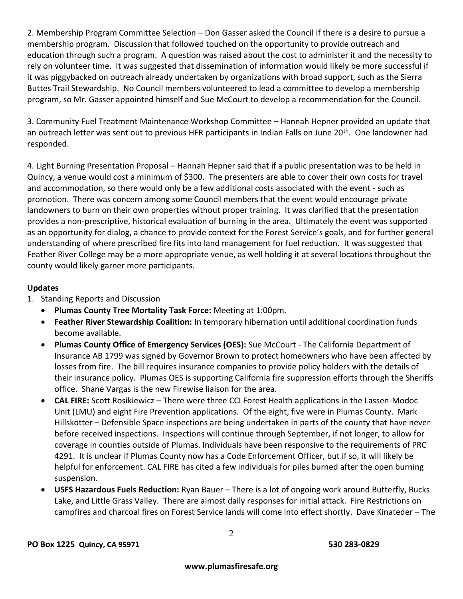2. Membership Program Committee Selection – Don Gasser asked the Council if there is a desire to pursue a membership program. Discussion that followed touched on the opportunity to provide outreach and education through such a program. A question was raised about the cost to administer it and the necessity to rely on volunteer time. It was suggested that dissemination of information would likely be more successful if it was piggybacked on outreach already undertaken by organizations with broad support, such as the Sierra Buttes Trail Stewardship. No Council members volunteered to lead a committee to develop a membership program, so Mr. Gasser appointed himself and Sue McCourt to develop a recommendation for the Council.

3. Community Fuel Treatment Maintenance Workshop Committee – Hannah Hepner provided an update that an outreach letter was sent out to previous HFR participants in Indian Falls on June 20<sup>th</sup>. One landowner had responded.

4. Light Burning Presentation Proposal – Hannah Hepner said that if a public presentation was to be held in Quincy, a venue would cost a minimum of \$300. The presenters are able to cover their own costs for travel and accommodation, so there would only be a few additional costs associated with the event - such as promotion. There was concern among some Council members that the event would encourage private landowners to burn on their own properties without proper training. It was clarified that the presentation provides a non-prescriptive, historical evaluation of burning in the area. Ultimately the event was supported as an opportunity for dialog, a chance to provide context for the Forest Service's goals, and for further general understanding of where prescribed fire fits into land management for fuel reduction. It was suggested that Feather River College may be a more appropriate venue, as well holding it at several locations throughout the county would likely garner more participants.

#### **Updates**

1. Standing Reports and Discussion

- **Plumas County Tree Mortality Task Force:** Meeting at 1:00pm.
- **Feather River Stewardship Coalition:** In temporary hibernation until additional coordination funds become available.
- **Plumas County Office of Emergency Services (OES):** Sue McCourt The California Department of Insurance AB 1799 was signed by Governor Brown to protect homeowners who have been affected by losses from fire. The bill requires insurance companies to provide policy holders with the details of their insurance policy. Plumas OES is supporting California fire suppression efforts through the Sheriffs office. Shane Vargas is the new Firewise liaison for the area.
- **CAL FIRE:** Scott Rosikiewicz There were three CCI Forest Health applications in the Lassen-Modoc Unit (LMU) and eight Fire Prevention applications. Of the eight, five were in Plumas County. Mark Hillskotter – Defensible Space inspections are being undertaken in parts of the county that have never before received inspections. Inspections will continue through September, if not longer, to allow for coverage in counties outside of Plumas. Individuals have been responsive to the requirements of PRC 4291. It is unclear if Plumas County now has a Code Enforcement Officer, but if so, it will likely be helpful for enforcement. CAL FIRE has cited a few individuals for piles burned after the open burning suspension.
- **USFS Hazardous Fuels Reduction:** Ryan Bauer There is a lot of ongoing work around Butterfly, Bucks Lake, and Little Grass Valley. There are almost daily responses for initial attack. Fire Restrictions on campfires and charcoal fires on Forest Service lands will come into effect shortly. Dave Kinateder – The

2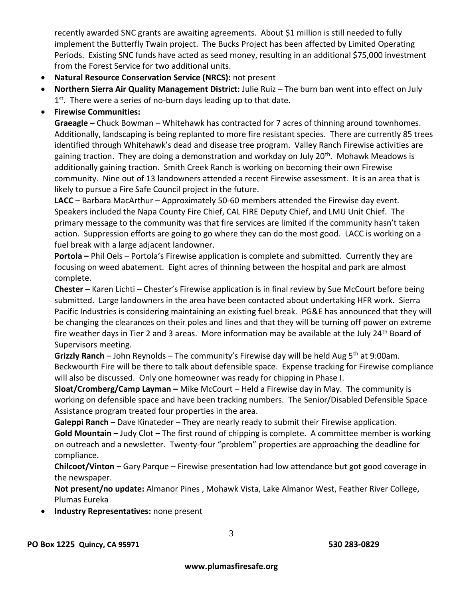recently awarded SNC grants are awaiting agreements. About \$1 million is still needed to fully implement the Butterfly Twain project. The Bucks Project has been affected by Limited Operating Periods. Existing SNC funds have acted as seed money, resulting in an additional \$75,000 investment from the Forest Service for two additional units.

- **Natural Resource Conservation Service (NRCS):** not present
- **Northern Sierra Air Quality Management District:** Julie Ruiz The burn ban went into effect on July 1<sup>st</sup>. There were a series of no-burn days leading up to that date.
- **Firewise Communities:**

**Graeagle –** Chuck Bowman – Whitehawk has contracted for 7 acres of thinning around townhomes. Additionally, landscaping is being replanted to more fire resistant species. There are currently 85 trees identified through Whitehawk's dead and disease tree program. Valley Ranch Firewise activities are gaining traction. They are doing a demonstration and workday on July 20<sup>th</sup>. Mohawk Meadows is additionally gaining traction. Smith Creek Ranch is working on becoming their own Firewise community. Nine out of 13 landowners attended a recent Firewise assessment. It is an area that is likely to pursue a Fire Safe Council project in the future.

**LACC** – Barbara MacArthur – Approximately 50-60 members attended the Firewise day event. Speakers included the Napa County Fire Chief, CAL FIRE Deputy Chief, and LMU Unit Chief. The primary message to the community was that fire services are limited if the community hasn't taken action. Suppression efforts are going to go where they can do the most good. LACC is working on a fuel break with a large adjacent landowner.

**Portola –** Phil Oels – Portola's Firewise application is complete and submitted. Currently they are focusing on weed abatement. Eight acres of thinning between the hospital and park are almost complete.

**Chester –** Karen Lichti – Chester's Firewise application is in final review by Sue McCourt before being submitted. Large landowners in the area have been contacted about undertaking HFR work. Sierra Pacific Industries is considering maintaining an existing fuel break. PG&E has announced that they will be changing the clearances on their poles and lines and that they will be turning off power on extreme fire weather days in Tier 2 and 3 areas. More information may be available at the July 24<sup>th</sup> Board of Supervisors meeting.

Grizzly Ranch – John Reynolds – The community's Firewise day will be held Aug 5<sup>th</sup> at 9:00am. Beckwourth Fire will be there to talk about defensible space. Expense tracking for Firewise compliance will also be discussed. Only one homeowner was ready for chipping in Phase I.

**Sloat/Cromberg/Camp Layman –** Mike McCourt – Held a Firewise day in May. The community is working on defensible space and have been tracking numbers. The Senior/Disabled Defensible Space Assistance program treated four properties in the area.

**Galeppi Ranch –** Dave Kinateder – They are nearly ready to submit their Firewise application. **Gold Mountain –** Judy Clot – The first round of chipping is complete. A committee member is working on outreach and a newsletter. Twenty-four "problem" properties are approaching the deadline for

compliance.

**Chilcoot/Vinton –** Gary Parque – Firewise presentation had low attendance but got good coverage in the newspaper.

**Not present/no update:** Almanor Pines , Mohawk Vista, Lake Almanor West, Feather River College, Plumas Eureka

**Industry Representatives:** none present